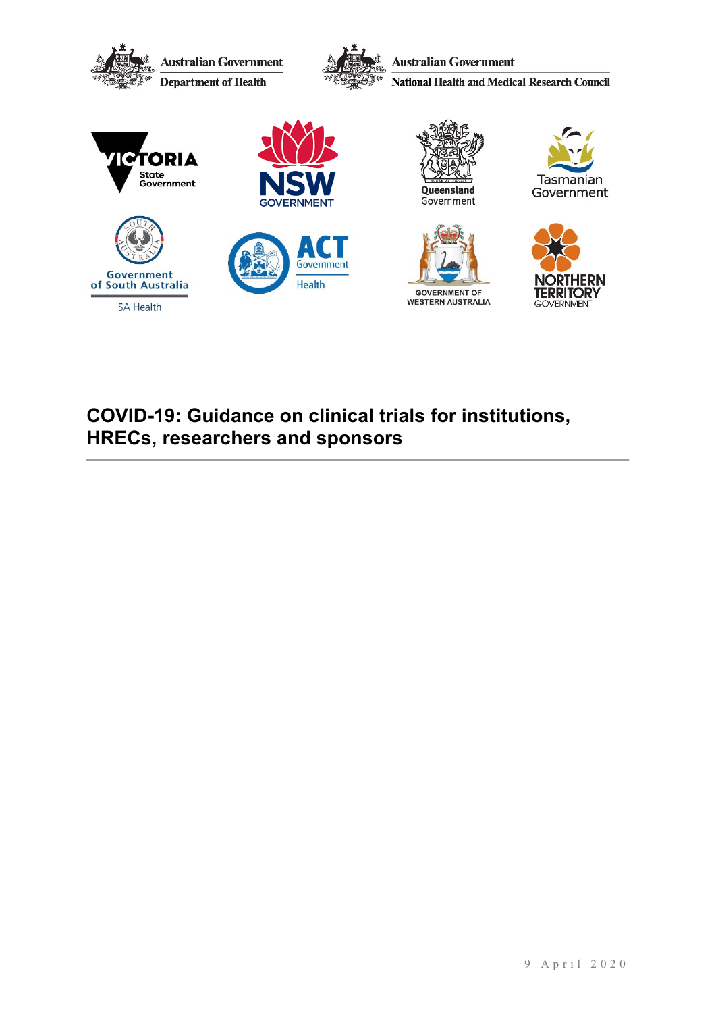

# **COVID-19: Guidance on clinical trials for institutions, HRECs, researchers and sponsors**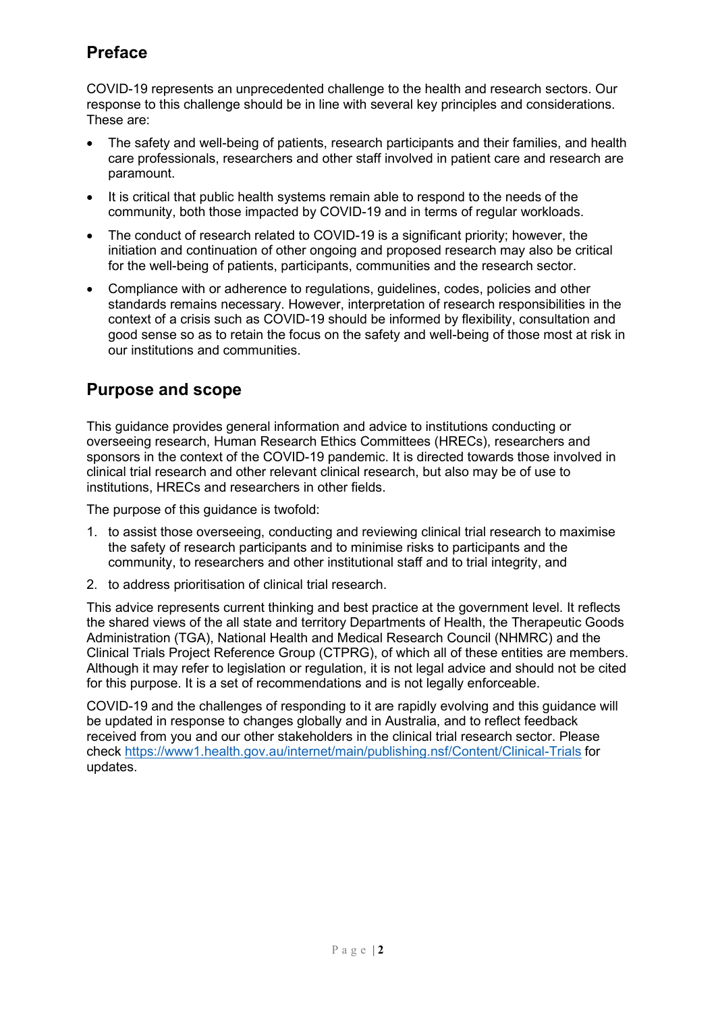# **Preface**

COVID-19 represents an unprecedented challenge to the health and research sectors. Our response to this challenge should be in line with several key principles and considerations. These are:

- The safety and well-being of patients, research participants and their families, and health care professionals, researchers and other staff involved in patient care and research are paramount.
- It is critical that public health systems remain able to respond to the needs of the community, both those impacted by COVID-19 and in terms of regular workloads.
- The conduct of research related to COVID-19 is a significant priority; however, the initiation and continuation of other ongoing and proposed research may also be critical for the well-being of patients, participants, communities and the research sector.
- Compliance with or adherence to regulations, guidelines, codes, policies and other standards remains necessary. However, interpretation of research responsibilities in the context of a crisis such as COVID-19 should be informed by flexibility, consultation and good sense so as to retain the focus on the safety and well-being of those most at risk in our institutions and communities.

# **Purpose and scope**

This guidance provides general information and advice to institutions conducting or overseeing research, Human Research Ethics Committees (HRECs), researchers and sponsors in the context of the COVID-19 pandemic. It is directed towards those involved in clinical trial research and other relevant clinical research, but also may be of use to institutions, HRECs and researchers in other fields.

The purpose of this guidance is twofold:

- 1. to assist those overseeing, conducting and reviewing clinical trial research to maximise the safety of research participants and to minimise risks to participants and the community, to researchers and other institutional staff and to trial integrity, and
- 2. to address prioritisation of clinical trial research.

This advice represents current thinking and best practice at the government level. It reflects the shared views of the all state and territory Departments of Health, the Therapeutic Goods Administration (TGA), National Health and Medical Research Council (NHMRC) and the Clinical Trials Project Reference Group (CTPRG), of which all of these entities are members. Although it may refer to legislation or regulation, it is not legal advice and should not be cited for this purpose. It is a set of recommendations and is not legally enforceable.

COVID-19 and the challenges of responding to it are rapidly evolving and this guidance will be updated in response to changes globally and in Australia, and to reflect feedback received from you and our other stakeholders in the clinical trial research sector. Please check<https://www1.health.gov.au/internet/main/publishing.nsf/Content/Clinical-Trials> for updates.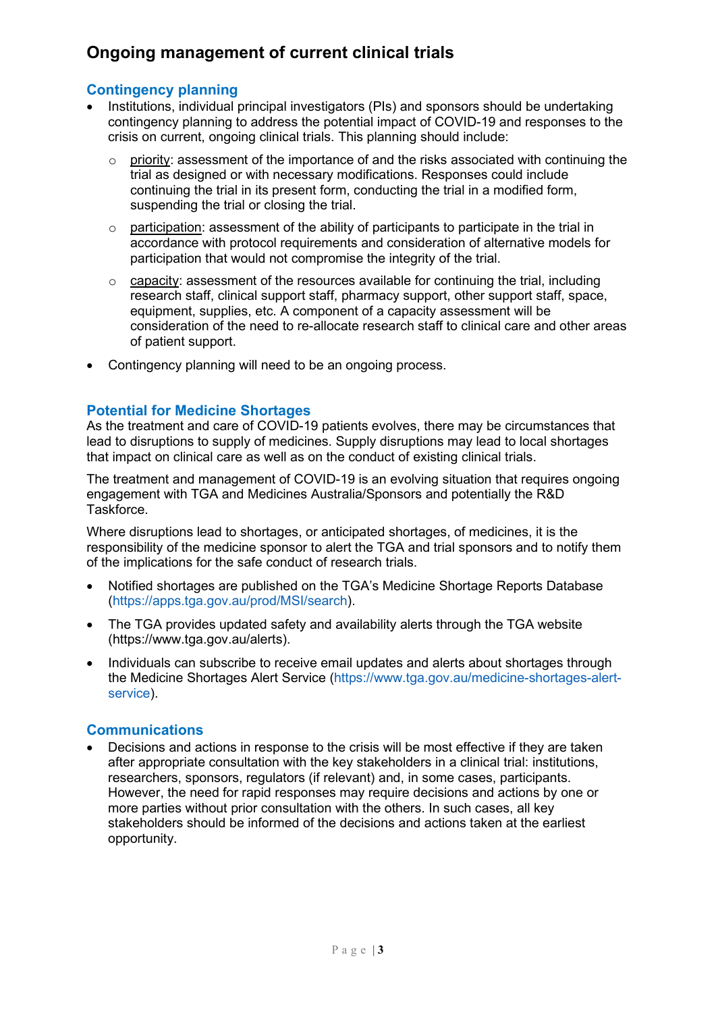# **Ongoing management of current clinical trials**

# **Contingency planning**

- Institutions, individual principal investigators (PIs) and sponsors should be undertaking contingency planning to address the potential impact of COVID-19 and responses to the crisis on current, ongoing clinical trials. This planning should include:
	- $\circ$  priority: assessment of the importance of and the risks associated with continuing the trial as designed or with necessary modifications. Responses could include continuing the trial in its present form, conducting the trial in a modified form, suspending the trial or closing the trial.
	- $\circ$  participation: assessment of the ability of participants to participate in the trial in accordance with protocol requirements and consideration of alternative models for participation that would not compromise the integrity of the trial.
	- $\circ$  capacity: assessment of the resources available for continuing the trial, including research staff, clinical support staff, pharmacy support, other support staff, space, equipment, supplies, etc. A component of a capacity assessment will be consideration of the need to re-allocate research staff to clinical care and other areas of patient support.
- Contingency planning will need to be an ongoing process.

# **Potential for Medicine Shortages**

As the treatment and care of COVID-19 patients evolves, there may be circumstances that lead to disruptions to supply of medicines. Supply disruptions may lead to local shortages that impact on clinical care as well as on the conduct of existing clinical trials.

The treatment and management of COVID-19 is an evolving situation that requires ongoing engagement with TGA and Medicines Australia/Sponsors and potentially the R&D **Taskforce** 

Where disruptions lead to shortages, or anticipated shortages, of medicines, it is the responsibility of the medicine sponsor to alert the TGA and trial sponsors and to notify them of the implications for the safe conduct of research trials.

- Notified shortages are published on the TGA's Medicine Shortage Reports Database [\(https://apps.tga.gov.au/prod/MSI/search\)](https://apps.tga.gov.au/prod/MSI/search).
- The TGA provides updated safety and availability alerts through the TGA website [\(https://www.tga.gov.au/alerts\)](https://www.tga.gov.au/alerts).
- Individuals can subscribe to receive email updates and alerts about shortages through the Medicine Shortages Alert Service [\(https://www.tga.gov.au/medicine-shortages-alert](https://www.tga.gov.au/medicine-shortages-alert-service)[service\)](https://www.tga.gov.au/medicine-shortages-alert-service).

# **Communications**

• Decisions and actions in response to the crisis will be most effective if they are taken after appropriate consultation with the key stakeholders in a clinical trial: institutions, researchers, sponsors, regulators (if relevant) and, in some cases, participants. However, the need for rapid responses may require decisions and actions by one or more parties without prior consultation with the others. In such cases, all key stakeholders should be informed of the decisions and actions taken at the earliest opportunity.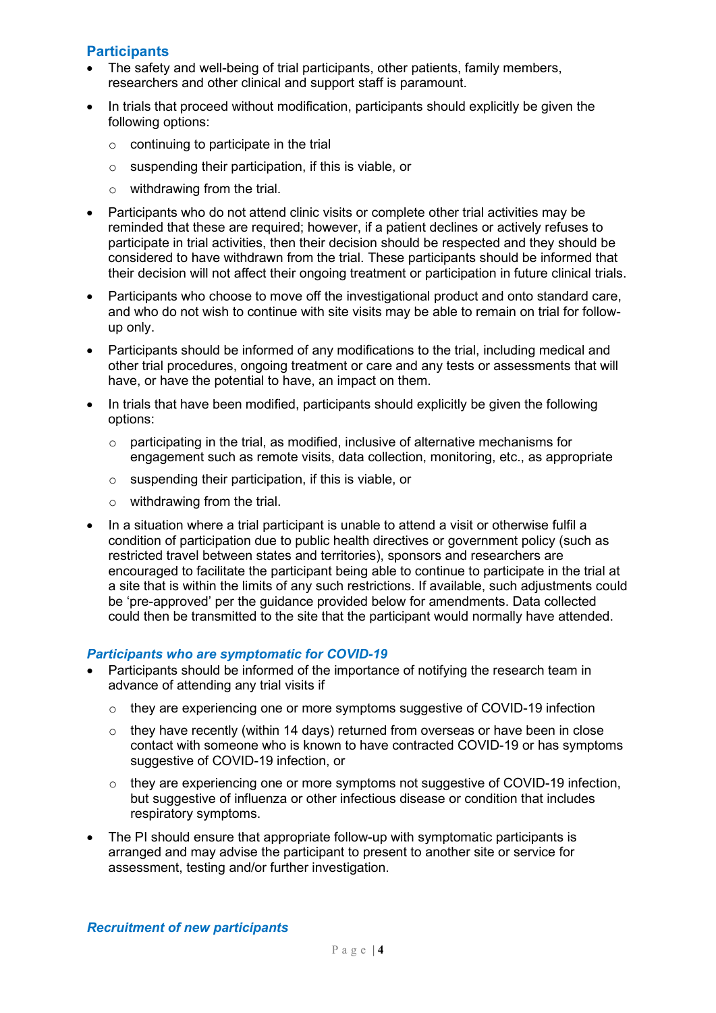### **Participants**

- The safety and well-being of trial participants, other patients, family members, researchers and other clinical and support staff is paramount.
- In trials that proceed without modification, participants should explicitly be given the following options:
	- $\circ$  continuing to participate in the trial
	- o suspending their participation, if this is viable, or
	- o withdrawing from the trial.
- Participants who do not attend clinic visits or complete other trial activities may be reminded that these are required; however, if a patient declines or actively refuses to participate in trial activities, then their decision should be respected and they should be considered to have withdrawn from the trial. These participants should be informed that their decision will not affect their ongoing treatment or participation in future clinical trials.
- Participants who choose to move off the investigational product and onto standard care, and who do not wish to continue with site visits may be able to remain on trial for followup only.
- Participants should be informed of any modifications to the trial, including medical and other trial procedures, ongoing treatment or care and any tests or assessments that will have, or have the potential to have, an impact on them.
- In trials that have been modified, participants should explicitly be given the following options:
	- o participating in the trial, as modified, inclusive of alternative mechanisms for engagement such as remote visits, data collection, monitoring, etc., as appropriate
	- o suspending their participation, if this is viable, or
	- o withdrawing from the trial.
- In a situation where a trial participant is unable to attend a visit or otherwise fulfil a condition of participation due to public health directives or government policy (such as restricted travel between states and territories), sponsors and researchers are encouraged to facilitate the participant being able to continue to participate in the trial at a site that is within the limits of any such restrictions. If available, such adjustments could be 'pre-approved' per the guidance provided below for amendments. Data collected could then be transmitted to the site that the participant would normally have attended.

#### *Participants who are symptomatic for COVID-19*

- Participants should be informed of the importance of notifying the research team in advance of attending any trial visits if
	- $\circ$  they are experiencing one or more symptoms suggestive of COVID-19 infection
	- o they have recently (within 14 days) returned from overseas or have been in close contact with someone who is known to have contracted COVID-19 or has symptoms suggestive of COVID-19 infection, or
	- $\circ$  they are experiencing one or more symptoms not suggestive of COVID-19 infection, but suggestive of influenza or other infectious disease or condition that includes respiratory symptoms.
- The PI should ensure that appropriate follow-up with symptomatic participants is arranged and may advise the participant to present to another site or service for assessment, testing and/or further investigation.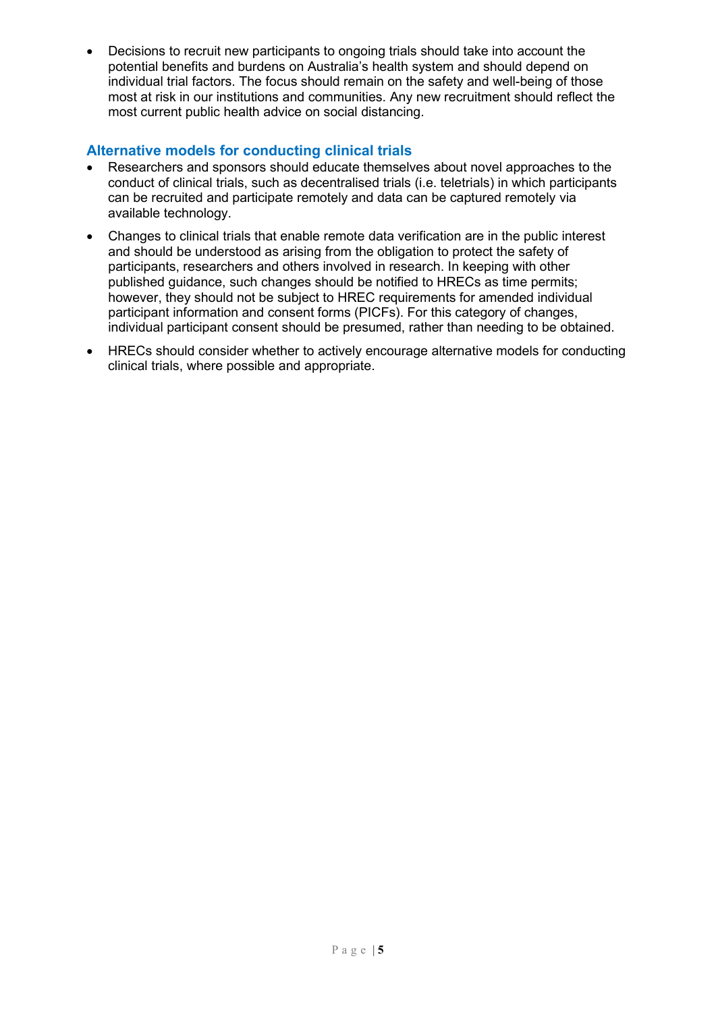• Decisions to recruit new participants to ongoing trials should take into account the potential benefits and burdens on Australia's health system and should depend on individual trial factors. The focus should remain on the safety and well-being of those most at risk in our institutions and communities. Any new recruitment should reflect the most current public health advice on social distancing.

# **Alternative models for conducting clinical trials**

- Researchers and sponsors should educate themselves about novel approaches to the conduct of clinical trials, such as decentralised trials (i.e. teletrials) in which participants can be recruited and participate remotely and data can be captured remotely via available technology.
- Changes to clinical trials that enable remote data verification are in the public interest and should be understood as arising from the obligation to protect the safety of participants, researchers and others involved in research. In keeping with other published guidance, such changes should be notified to HRECs as time permits; however, they should not be subject to HREC requirements for amended individual participant information and consent forms (PICFs). For this category of changes, individual participant consent should be presumed, rather than needing to be obtained.
- HRECs should consider whether to actively encourage alternative models for conducting clinical trials, where possible and appropriate.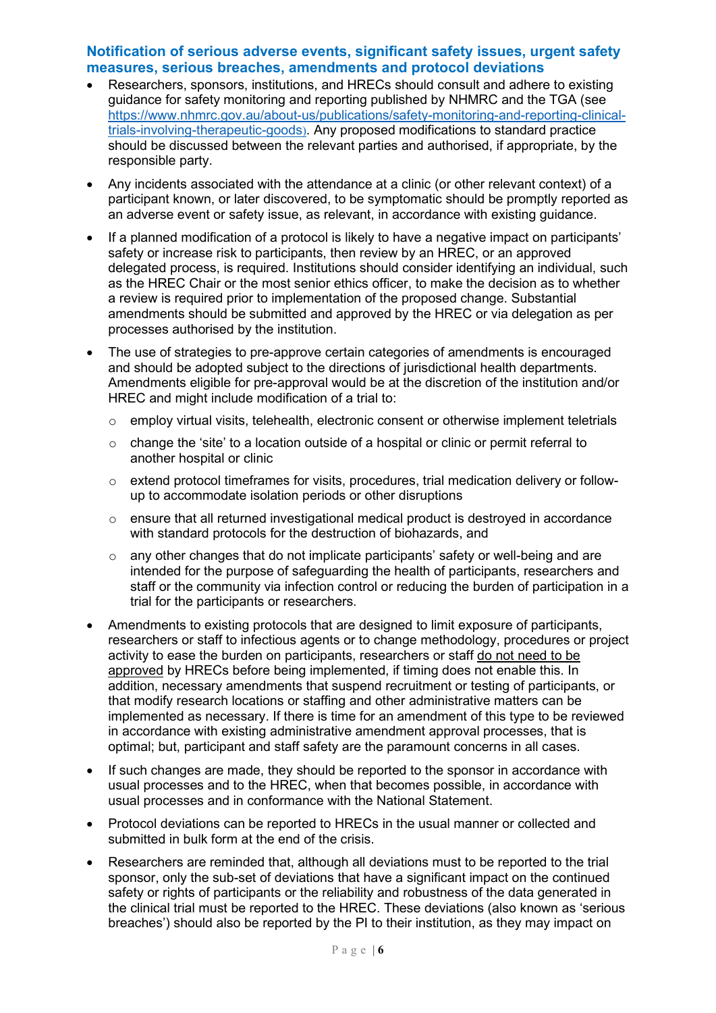#### **Notification of serious adverse events, significant safety issues, urgent safety measures, serious breaches, amendments and protocol deviations**

- Researchers, sponsors, institutions, and HRECs should consult and adhere to existing guidance for safety monitoring and reporting published by NHMRC and the TGA (see [https://www.nhmrc.gov.au/about-us/publications/safety-monitoring-and-reporting-clinical](https://www.nhmrc.gov.au/about-us/publications/safety-monitoring-and-reporting-clinical-trials-involving-therapeutic-goods)[trials-involving-therapeutic-goods](https://www.nhmrc.gov.au/about-us/publications/safety-monitoring-and-reporting-clinical-trials-involving-therapeutic-goods)). Any proposed modifications to standard practice should be discussed between the relevant parties and authorised, if appropriate, by the responsible party.
- Any incidents associated with the attendance at a clinic (or other relevant context) of a participant known, or later discovered, to be symptomatic should be promptly reported as an adverse event or safety issue, as relevant, in accordance with existing guidance.
- If a planned modification of a protocol is likely to have a negative impact on participants' safety or increase risk to participants, then review by an HREC, or an approved delegated process, is required. Institutions should consider identifying an individual, such as the HREC Chair or the most senior ethics officer, to make the decision as to whether a review is required prior to implementation of the proposed change. Substantial amendments should be submitted and approved by the HREC or via delegation as per processes authorised by the institution.
- The use of strategies to pre-approve certain categories of amendments is encouraged and should be adopted subject to the directions of jurisdictional health departments. Amendments eligible for pre-approval would be at the discretion of the institution and/or HREC and might include modification of a trial to:
	- o employ virtual visits, telehealth, electronic consent or otherwise implement teletrials
	- $\circ$  change the 'site' to a location outside of a hospital or clinic or permit referral to another hospital or clinic
	- o extend protocol timeframes for visits, procedures, trial medication delivery or followup to accommodate isolation periods or other disruptions
	- o ensure that all returned investigational medical product is destroyed in accordance with standard protocols for the destruction of biohazards, and
	- o any other changes that do not implicate participants' safety or well-being and are intended for the purpose of safeguarding the health of participants, researchers and staff or the community via infection control or reducing the burden of participation in a trial for the participants or researchers.
- Amendments to existing protocols that are designed to limit exposure of participants, researchers or staff to infectious agents or to change methodology, procedures or project activity to ease the burden on participants, researchers or staff do not need to be approved by HRECs before being implemented, if timing does not enable this. In addition, necessary amendments that suspend recruitment or testing of participants, or that modify research locations or staffing and other administrative matters can be implemented as necessary. If there is time for an amendment of this type to be reviewed in accordance with existing administrative amendment approval processes, that is optimal; but, participant and staff safety are the paramount concerns in all cases.
- If such changes are made, they should be reported to the sponsor in accordance with usual processes and to the HREC, when that becomes possible, in accordance with usual processes and in conformance with the National Statement.
- Protocol deviations can be reported to HRECs in the usual manner or collected and submitted in bulk form at the end of the crisis.
- Researchers are reminded that, although all deviations must to be reported to the trial sponsor, only the sub-set of deviations that have a significant impact on the continued safety or rights of participants or the reliability and robustness of the data generated in the clinical trial must be reported to the HREC. These deviations (also known as 'serious breaches') should also be reported by the PI to their institution, as they may impact on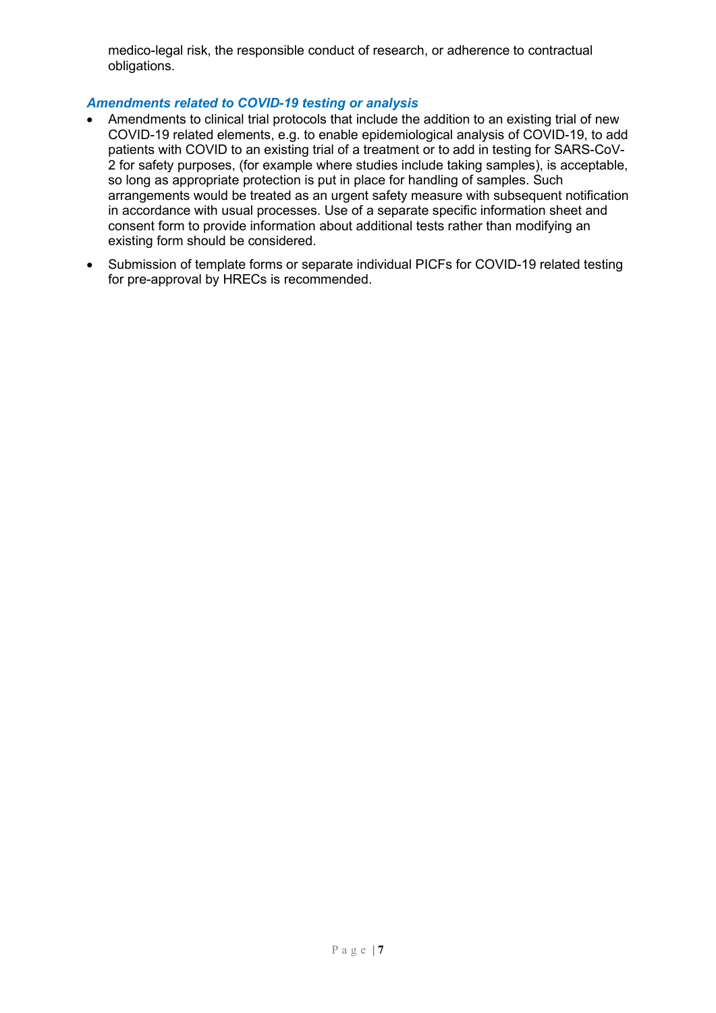medico-legal risk, the responsible conduct of research, or adherence to contractual obligations.

#### *Amendments related to COVID-19 testing or analysis*

- Amendments to clinical trial protocols that include the addition to an existing trial of new COVID-19 related elements, e.g. to enable epidemiological analysis of COVID-19, to add patients with COVID to an existing trial of a treatment or to add in testing for SARS-CoV-2 for safety purposes, (for example where studies include taking samples), is acceptable, so long as appropriate protection is put in place for handling of samples. Such arrangements would be treated as an urgent safety measure with subsequent notification in accordance with usual processes. Use of a separate specific information sheet and consent form to provide information about additional tests rather than modifying an existing form should be considered.
- Submission of template forms or separate individual PICFs for COVID-19 related testing for pre-approval by HRECs is recommended.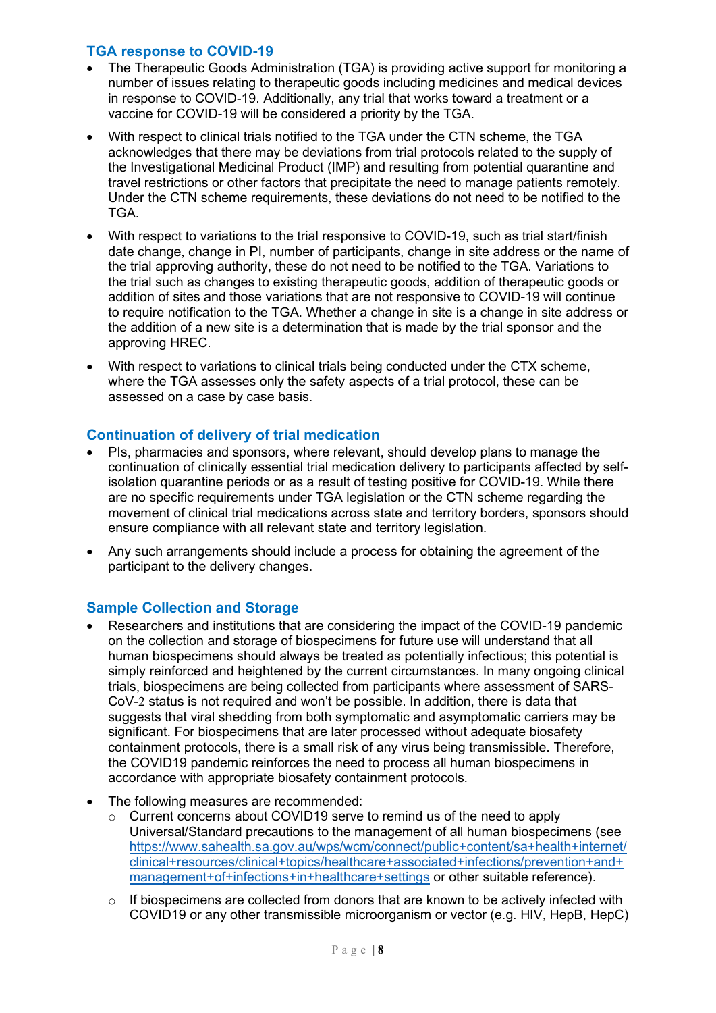### **TGA response to COVID-19**

- The Therapeutic Goods Administration (TGA) is providing active support for monitoring a number of issues relating to therapeutic goods including medicines and medical devices in response to COVID-19. Additionally, any trial that works toward a treatment or a vaccine for COVID-19 will be considered a priority by the TGA.
- With respect to clinical trials notified to the TGA under the CTN scheme, the TGA acknowledges that there may be deviations from trial protocols related to the supply of the Investigational Medicinal Product (IMP) and resulting from potential quarantine and travel restrictions or other factors that precipitate the need to manage patients remotely. Under the CTN scheme requirements, these deviations do not need to be notified to the TGA.
- With respect to variations to the trial responsive to COVID-19, such as trial start/finish date change, change in PI, number of participants, change in site address or the name of the trial approving authority, these do not need to be notified to the TGA. Variations to the trial such as changes to existing therapeutic goods, addition of therapeutic goods or addition of sites and those variations that are not responsive to COVID-19 will continue to require notification to the TGA. Whether a change in site is a change in site address or the addition of a new site is a determination that is made by the trial sponsor and the approving HREC.
- With respect to variations to clinical trials being conducted under the CTX scheme, where the TGA assesses only the safety aspects of a trial protocol, these can be assessed on a case by case basis.

# **Continuation of delivery of trial medication**

- PIs, pharmacies and sponsors, where relevant, should develop plans to manage the continuation of clinically essential trial medication delivery to participants affected by selfisolation quarantine periods or as a result of testing positive for COVID-19. While there are no specific requirements under TGA legislation or the CTN scheme regarding the movement of clinical trial medications across state and territory borders, sponsors should ensure compliance with all relevant state and territory legislation.
- Any such arrangements should include a process for obtaining the agreement of the participant to the delivery changes.

# **Sample Collection and Storage**

- Researchers and institutions that are considering the impact of the COVID-19 pandemic on the collection and storage of biospecimens for future use will understand that all human biospecimens should always be treated as potentially infectious; this potential is simply reinforced and heightened by the current circumstances. In many ongoing clinical trials, biospecimens are being collected from participants where assessment of SARS-CoV-2 status is not required and won't be possible. In addition, there is data that suggests that viral shedding from both symptomatic and asymptomatic carriers may be significant. For biospecimens that are later processed without adequate biosafety containment protocols, there is a small risk of any virus being transmissible. Therefore, the COVID19 pandemic reinforces the need to process all human biospecimens in accordance with appropriate biosafety containment protocols.
- The following measures are recommended:
	- $\circ$  Current concerns about COVID19 serve to remind us of the need to apply Universal/Standard precautions to the management of all human biospecimens (see [https://www.sahealth.sa.gov.au/wps/wcm/connect/public+content/sa+health+internet/](https://www.sahealth.sa.gov.au/wps/wcm/connect/public+content/sa+health+internet/clinical+resources/clinical+topics/healthcare+associated+infections/prevention+and+management+of+infections+in+healthcare+settings) [clinical+resources/clinical+topics/healthcare+associated+infections/prevention+and+](https://www.sahealth.sa.gov.au/wps/wcm/connect/public+content/sa+health+internet/clinical+resources/clinical+topics/healthcare+associated+infections/prevention+and+management+of+infections+in+healthcare+settings) [management+of+infections+in+healthcare+settings](https://www.sahealth.sa.gov.au/wps/wcm/connect/public+content/sa+health+internet/clinical+resources/clinical+topics/healthcare+associated+infections/prevention+and+management+of+infections+in+healthcare+settings) or other suitable reference).
	- $\circ$  If biospecimens are collected from donors that are known to be actively infected with COVID19 or any other transmissible microorganism or vector (e.g. HIV, HepB, HepC)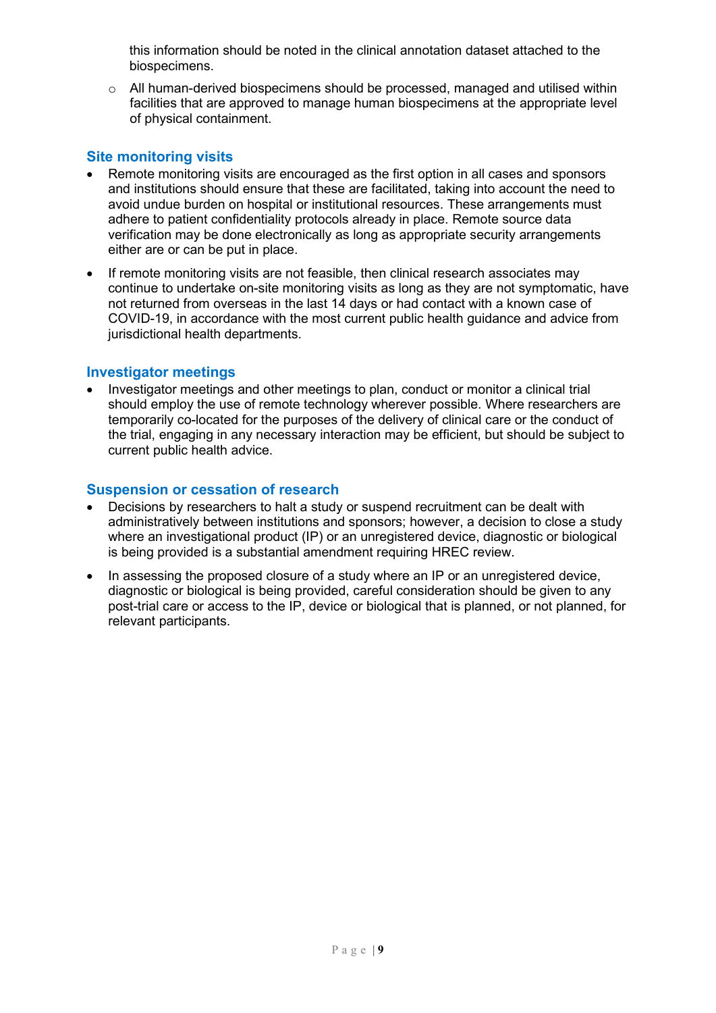this information should be noted in the clinical annotation dataset attached to the biospecimens.

 $\circ$  All human-derived biospecimens should be processed, managed and utilised within facilities that are approved to manage human biospecimens at the appropriate level of physical containment.

### **Site monitoring visits**

- Remote monitoring visits are encouraged as the first option in all cases and sponsors and institutions should ensure that these are facilitated, taking into account the need to avoid undue burden on hospital or institutional resources. These arrangements must adhere to patient confidentiality protocols already in place. Remote source data verification may be done electronically as long as appropriate security arrangements either are or can be put in place.
- If remote monitoring visits are not feasible, then clinical research associates may continue to undertake on-site monitoring visits as long as they are not symptomatic, have not returned from overseas in the last 14 days or had contact with a known case of COVID-19, in accordance with the most current public health guidance and advice from jurisdictional health departments.

#### **Investigator meetings**

• Investigator meetings and other meetings to plan, conduct or monitor a clinical trial should employ the use of remote technology wherever possible. Where researchers are temporarily co-located for the purposes of the delivery of clinical care or the conduct of the trial, engaging in any necessary interaction may be efficient, but should be subject to current public health advice.

#### **Suspension or cessation of research**

- Decisions by researchers to halt a study or suspend recruitment can be dealt with administratively between institutions and sponsors; however, a decision to close a study where an investigational product (IP) or an unregistered device, diagnostic or biological is being provided is a substantial amendment requiring HREC review.
- In assessing the proposed closure of a study where an IP or an unregistered device, diagnostic or biological is being provided, careful consideration should be given to any post-trial care or access to the IP, device or biological that is planned, or not planned, for relevant participants.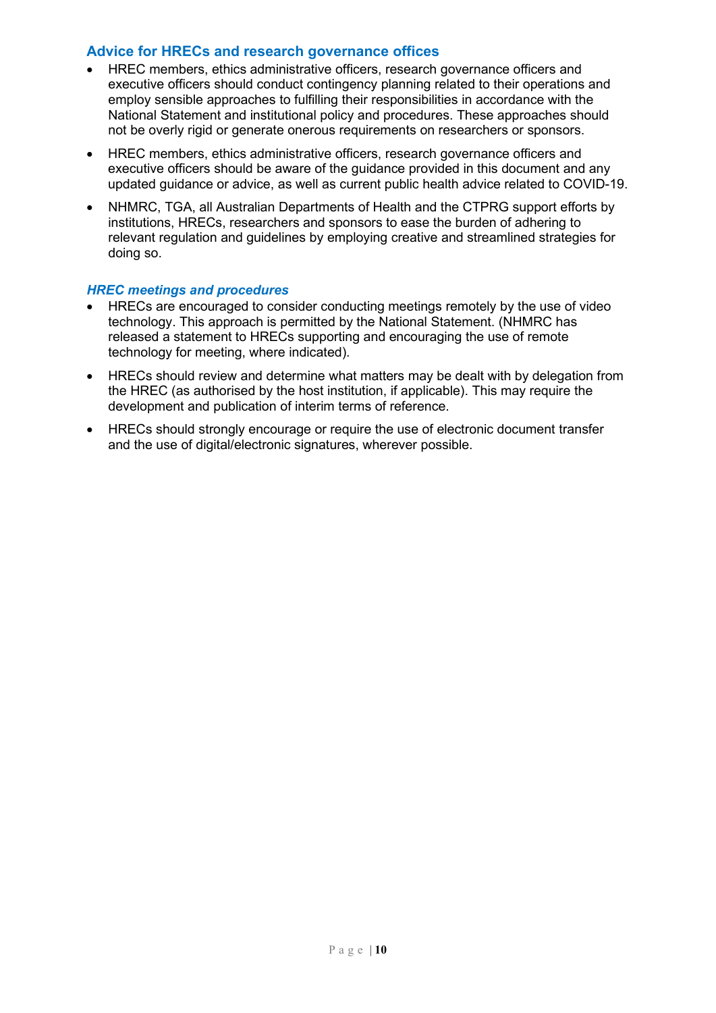#### **Advice for HRECs and research governance offices**

- HREC members, ethics administrative officers, research governance officers and executive officers should conduct contingency planning related to their operations and employ sensible approaches to fulfilling their responsibilities in accordance with the National Statement and institutional policy and procedures. These approaches should not be overly rigid or generate onerous requirements on researchers or sponsors.
- HREC members, ethics administrative officers, research governance officers and executive officers should be aware of the guidance provided in this document and any updated guidance or advice, as well as current public health advice related to COVID-19.
- NHMRC, TGA, all Australian Departments of Health and the CTPRG support efforts by institutions, HRECs, researchers and sponsors to ease the burden of adhering to relevant regulation and guidelines by employing creative and streamlined strategies for doing so.

#### *HREC meetings and procedures*

- HRECs are encouraged to consider conducting meetings remotely by the use of video technology. This approach is permitted by the National Statement. (NHMRC has released a statement to HRECs supporting and encouraging the use of remote technology for meeting, where indicated).
- HRECs should review and determine what matters may be dealt with by delegation from the HREC (as authorised by the host institution, if applicable). This may require the development and publication of interim terms of reference.
- HRECs should strongly encourage or require the use of electronic document transfer and the use of digital/electronic signatures, wherever possible.